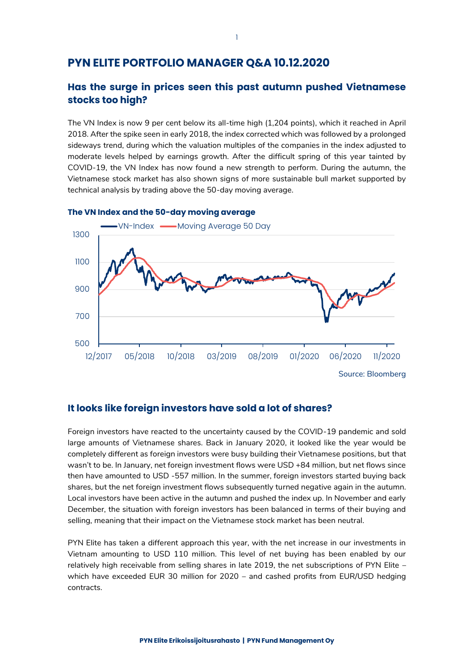# **PYN ELITE PORTFOLIO MANAGER Q&A 10.12.2020**

## **Has the surge in prices seen this past autumn pushed Vietnamese stocks too high?**

The VN Index is now 9 per cent below its all-time high (1,204 points), which it reached in April 2018. After the spike seen in early 2018, the index corrected which was followed by a prolonged sideways trend, during which the valuation multiples of the companies in the index adjusted to moderate levels helped by earnings growth. After the difficult spring of this year tainted by COVID-19, the VN Index has now found a new strength to perform. During the autumn, the Vietnamese stock market has also shown signs of more sustainable bull market supported by technical analysis by trading above the 50-day moving average.



### **The VN Index and the 50-day moving average**

## **It looks like foreign investors have sold a lot of shares?**

Foreign investors have reacted to the uncertainty caused by the COVID-19 pandemic and sold large amounts of Vietnamese shares. Back in January 2020, it looked like the year would be completely different as foreign investors were busy building their Vietnamese positions, but that wasn't to be. In January, net foreign investment flows were USD +84 million, but net flows since then have amounted to USD -557 million. In the summer, foreign investors started buying back shares, but the net foreign investment flows subsequently turned negative again in the autumn. Local investors have been active in the autumn and pushed the index up. In November and early December, the situation with foreign investors has been balanced in terms of their buying and selling, meaning that their impact on the Vietnamese stock market has been neutral.

PYN Elite has taken a different approach this year, with the net increase in our investments in Vietnam amounting to USD 110 million. This level of net buying has been enabled by our relatively high receivable from selling shares in late 2019, the net subscriptions of PYN Elite – which have exceeded EUR 30 million for 2020 – and cashed profits from EUR/USD hedging contracts.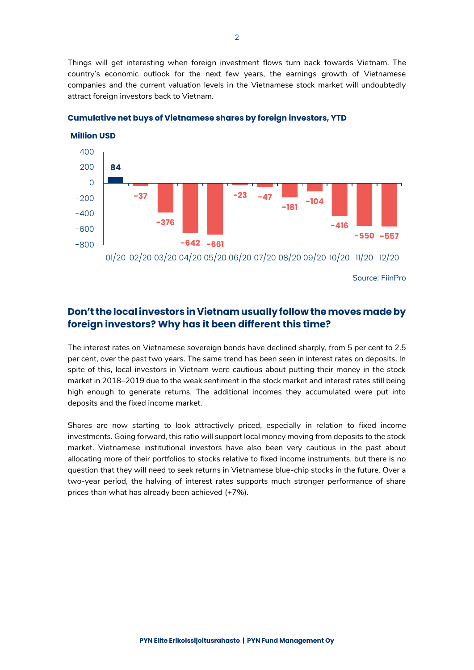Things will get interesting when foreign investment flows turn back towards Vietnam. The country's economic outlook for the next few years, the earnings growth of Vietnamese companies and the current valuation levels in the Vietnamese stock market will undoubtedly attract foreign investors back to Vietnam.



**Cumulative net buys of Vietnamese shares by foreign investors, YTD**

Source: FiinPro

# **Don't the local investors in Vietnam usually follow the moves made by foreign investors? Why has it been different this time?**

The interest rates on Vietnamese sovereign bonds have declined sharply, from 5 per cent to 2.5 per cent, over the past two years. The same trend has been seen in interest rates on deposits. In spite of this, local investors in Vietnam were cautious about putting their money in the stock market in 2018–2019 due to the weak sentiment in the stock market and interest rates still being high enough to generate returns. The additional incomes they accumulated were put into deposits and the fixed income market.

Shares are now starting to look attractively priced, especially in relation to fixed income investments. Going forward, this ratio will support local money moving from deposits to the stock market. Vietnamese institutional investors have also been very cautious in the past about allocating more of their portfolios to stocks relative to fixed income instruments, but there is no question that they will need to seek returns in Vietnamese blue-chip stocks in the future. Over a two-year period, the halving of interest rates supports much stronger performance of share prices than what has already been achieved (+7%).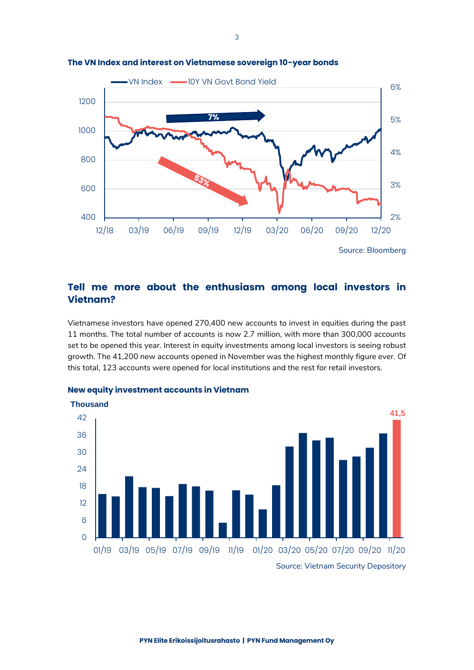

#### **The VN Index and interest on Vietnamese sovereign 10-year bonds**

# **Tell me more about the enthusiasm among local investors in Vietnam?**

Vietnamese investors have opened 270,400 new accounts to invest in equities during the past 11 months. The total number of accounts is now 2.7 million, with more than 300,000 accounts set to be opened this year. Interest in equity investments among local investors is seeing robust growth. The 41,200 new accounts opened in November was the highest monthly figure ever. Of this total, 123 accounts were opened for local institutions and the rest for retail investors.



## **New equity investment accounts in Vietnam**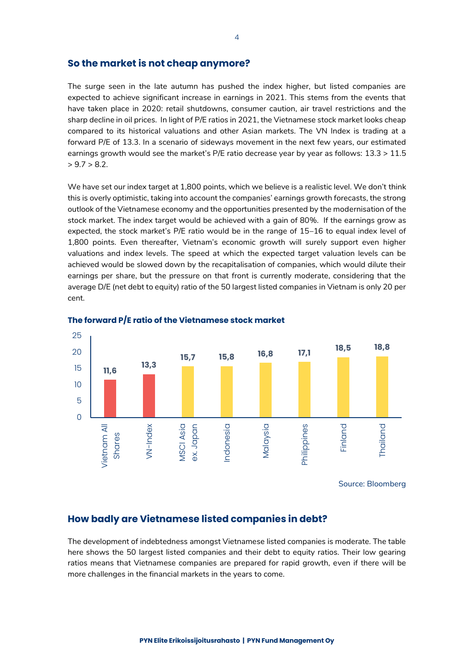## **So the market is not cheap anymore?**

The surge seen in the late autumn has pushed the index higher, but listed companies are expected to achieve significant increase in earnings in 2021. This stems from the events that have taken place in 2020: retail shutdowns, consumer caution, air travel restrictions and the sharp decline in oil prices. In light of P/E ratios in 2021, the Vietnamese stock market looks cheap compared to its historical valuations and other Asian markets. The VN Index is trading at a forward P/E of 13.3. In a scenario of sideways movement in the next few years, our estimated earnings growth would see the market's P/E ratio decrease year by year as follows: 13.3 > 11.5  $> 9.7 > 8.2$ .

We have set our index target at 1,800 points, which we believe is a realistic level. We don't think this is overly optimistic, taking into account the companies' earnings growth forecasts, the strong outlook of the Vietnamese economy and the opportunities presented by the modernisation of the stock market. The index target would be achieved with a gain of 80%. If the earnings grow as expected, the stock market's P/E ratio would be in the range of 15–16 to equal index level of 1,800 points. Even thereafter, Vietnam's economic growth will surely support even higher valuations and index levels. The speed at which the expected target valuation levels can be achieved would be slowed down by the recapitalisation of companies, which would dilute their earnings per share, but the pressure on that front is currently moderate, considering that the average D/E (net debt to equity) ratio of the 50 largest listed companies in Vietnam is only 20 per cent.





## **How badly are Vietnamese listed companies in debt?**

The development of indebtedness amongst Vietnamese listed companies is moderate. The table here shows the 50 largest listed companies and their debt to equity ratios. Their low gearing ratios means that Vietnamese companies are prepared for rapid growth, even if there will be more challenges in the financial markets in the years to come.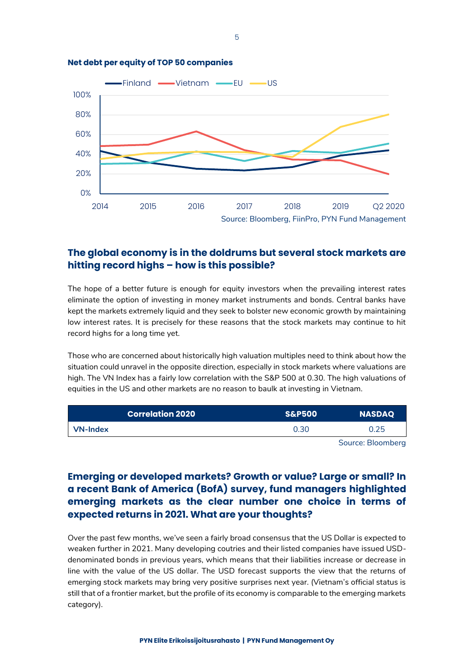

### **Net debt per equity of TOP 50 companies**

# **The global economy is in the doldrums but several stock markets are hitting record highs – how is this possible?**

The hope of a better future is enough for equity investors when the prevailing interest rates eliminate the option of investing in money market instruments and bonds. Central banks have kept the markets extremely liquid and they seek to bolster new economic growth by maintaining low interest rates. It is precisely for these reasons that the stock markets may continue to hit record highs for a long time yet.

Those who are concerned about historically high valuation multiples need to think about how the situation could unravel in the opposite direction, especially in stock markets where valuations are high. The VN Index has a fairly low correlation with the S&P 500 at 0.30. The high valuations of equities in the US and other markets are no reason to baulk at investing in Vietnam.

| Correlation 2020 $^\circ$ | <b>S&amp;P500</b> | <b>NASDAQ</b>     |
|---------------------------|-------------------|-------------------|
| <b>VN-Index</b>           | 0.30              | 0.25              |
|                           |                   | Source: Bloomberg |

#### ource: Bloomberg

# **Emerging or developed markets? Growth or value? Large or small? In a recent Bank of America (BofA) survey, fund managers highlighted emerging markets as the clear number one choice in terms of expected returns in 2021. What are your thoughts?**

Over the past few months, we've seen a fairly broad consensus that the US Dollar is expected to weaken further in 2021. Many developing coutries and their listed companies have issued USDdenominated bonds in previous years, which means that their liabilities increase or decrease in line with the value of the US dollar. The USD forecast supports the view that the returns of emerging stock markets may bring very positive surprises next year. (Vietnam's official status is still that of a frontier market, but the profile of its economy is comparable to the emerging markets category).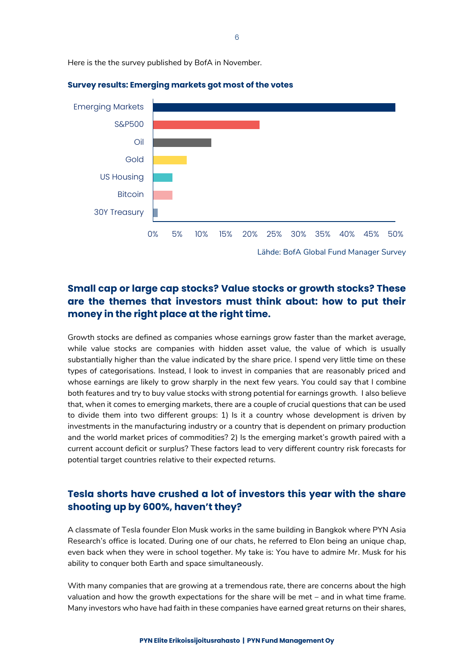Here is the the survey published by BofA in November.



#### **Survey results: Emerging markets got most of the votes**

# **Small cap or large cap stocks? Value stocks or growth stocks? These are the themes that investors must think about: how to put their money in the right place at the right time.**

Growth stocks are defined as companies whose earnings grow faster than the market average, while value stocks are companies with hidden asset value, the value of which is usually substantially higher than the value indicated by the share price. I spend very little time on these types of categorisations. Instead, I look to invest in companies that are reasonably priced and whose earnings are likely to grow sharply in the next few years. You could say that I combine both features and try to buy value stocks with strong potential for earnings growth. I also believe that, when it comes to emerging markets, there are a couple of crucial questions that can be used to divide them into two different groups: 1) Is it a country whose development is driven by investments in the manufacturing industry or a country that is dependent on primary production and the world market prices of commodities? 2) Is the emerging market's growth paired with a current account deficit or surplus? These factors lead to very different country risk forecasts for potential target countries relative to their expected returns.

# **Tesla shorts have crushed a lot of investors this year with the share shooting up by 600%, haven't they?**

A classmate of Tesla founder Elon Musk works in the same building in Bangkok where PYN Asia Research's office is located. During one of our chats, he referred to Elon being an unique chap, even back when they were in school together. My take is: You have to admire Mr. Musk for his ability to conquer both Earth and space simultaneously.

With many companies that are growing at a tremendous rate, there are concerns about the high valuation and how the growth expectations for the share will be met – and in what time frame. Many investors who have had faith in these companies have earned great returns on their shares,

6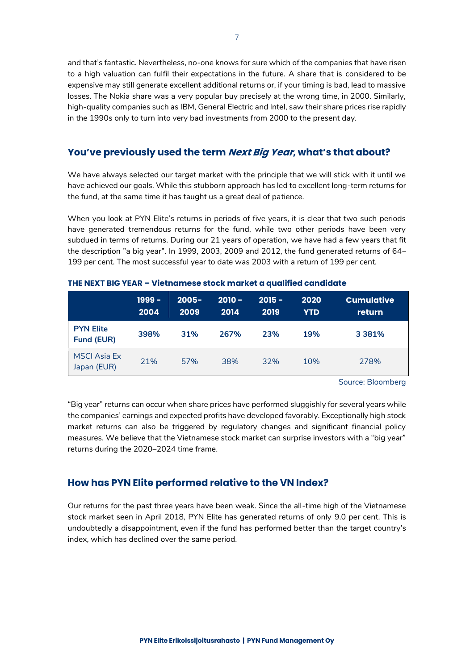and that's fantastic. Nevertheless, no-one knows for sure which of the companies that have risen to a high valuation can fulfil their expectations in the future. A share that is considered to be expensive may still generate excellent additional returns or, if your timing is bad, lead to massive losses. The Nokia share was a very popular buy precisely at the wrong time, in 2000. Similarly, high-quality companies such as IBM, General Electric and Intel, saw their share prices rise rapidly in the 1990s only to turn into very bad investments from 2000 to the present day.

## **You've previously used the term Next Big Year, what's that about?**

We have always selected our target market with the principle that we will stick with it until we have achieved our goals. While this stubborn approach has led to excellent long-term returns for the fund, at the same time it has taught us a great deal of patience.

When you look at PYN Elite's returns in periods of five years, it is clear that two such periods have generated tremendous returns for the fund, while two other periods have been very subdued in terms of returns. During our 21 years of operation, we have had a few years that fit the description "a big year". In 1999, 2003, 2009 and 2012, the fund generated returns of 64– 199 per cent. The most successful year to date was 2003 with a return of 199 per cent.

|                                    | 1999 -<br>2004 | $2005 -$<br>2009 | $2010 -$<br>2014 | $2015 -$<br>2019 | 2020<br>YTD | <b>Cumulative</b><br>return |
|------------------------------------|----------------|------------------|------------------|------------------|-------------|-----------------------------|
| <b>PYN Elite</b><br>Fund (EUR)     | 398%           | 31%              | 267%             | 23%              | 19%         | 3 3 8 1 %                   |
| <b>MSCI Asia Ex</b><br>Japan (EUR) | 21%            | 57%              | 38%              | 32%              | 10%         | 278%                        |

**THE NEXT BIG YEAR – Vietnamese stock market a qualified candidate**

Source: Bloomberg

"Big year" returns can occur when share prices have performed sluggishly for several years while the companies' earnings and expected profits have developed favorably. Exceptionally high stock market returns can also be triggered by regulatory changes and significant financial policy measures. We believe that the Vietnamese stock market can surprise investors with a "big year" returns during the 2020–2024 time frame.

## **How has PYN Elite performed relative to the VN Index?**

Our returns for the past three years have been weak. Since the all-time high of the Vietnamese stock market seen in April 2018, PYN Elite has generated returns of only 9.0 per cent. This is undoubtedly a disappointment, even if the fund has performed better than the target country's index, which has declined over the same period.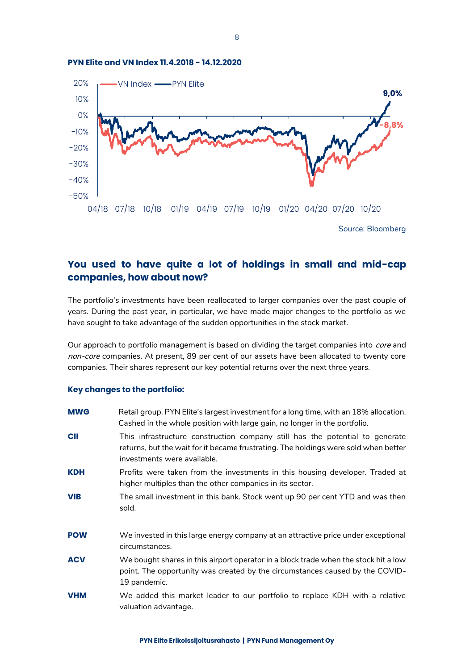

#### **PYN Elite and VN Index 11.4.2018 - 14.12.2020**

Source: Bloomberg

## **You used to have quite a lot of holdings in small and mid-cap companies, how about now?**

The portfolio's investments have been reallocated to larger companies over the past couple of years. During the past year, in particular, we have made major changes to the portfolio as we have sought to take advantage of the sudden opportunities in the stock market.

Our approach to portfolio management is based on dividing the target companies into core and non-core companies. At present, 89 per cent of our assets have been allocated to twenty core companies. Their shares represent our key potential returns over the next three years.

### **Key changes to the portfolio:**

| <b>MWG</b> | Retail group. PYN Elite's largest investment for a long time, with an 18% allocation.<br>Cashed in the whole position with large gain, no longer in the portfolio.                                 |
|------------|----------------------------------------------------------------------------------------------------------------------------------------------------------------------------------------------------|
| <b>CII</b> | This infrastructure construction company still has the potential to generate<br>returns, but the wait for it became frustrating. The holdings were sold when better<br>investments were available. |
| <b>KDH</b> | Profits were taken from the investments in this housing developer. Traded at<br>higher multiples than the other companies in its sector.                                                           |
| <b>VIB</b> | The small investment in this bank. Stock went up 90 per cent YTD and was then<br>sold.                                                                                                             |
| <b>POW</b> | We invested in this large energy company at an attractive price under exceptional<br>circumstances.                                                                                                |
| <b>ACV</b> | We bought shares in this airport operator in a block trade when the stock hit a low<br>point. The opportunity was created by the circumstances caused by the COVID-<br>19 pandemic.                |
| <b>VHM</b> | We added this market leader to our portfolio to replace KDH with a relative<br>valuation advantage.                                                                                                |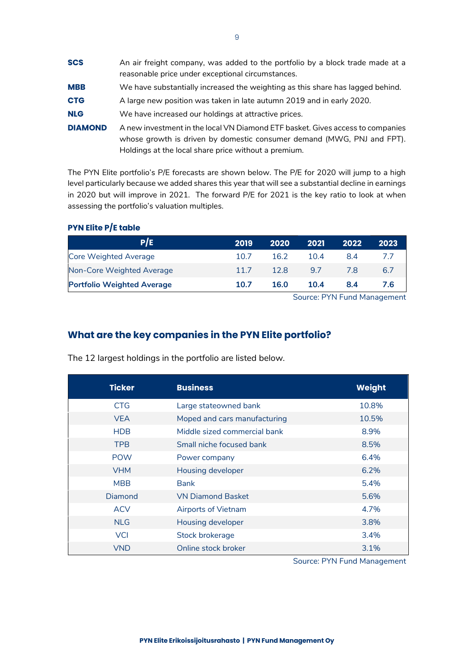| <b>SCS</b>     | An air freight company, was added to the portfolio by a block trade made at a<br>reasonable price under exceptional circumstances.                                                                               |
|----------------|------------------------------------------------------------------------------------------------------------------------------------------------------------------------------------------------------------------|
| <b>MBB</b>     | We have substantially increased the weighting as this share has lagged behind.                                                                                                                                   |
| <b>CTG</b>     | A large new position was taken in late autumn 2019 and in early 2020.                                                                                                                                            |
| <b>NLG</b>     | We have increased our holdings at attractive prices.                                                                                                                                                             |
| <b>DIAMOND</b> | A new investment in the local VN Diamond ETF basket. Gives access to companies<br>whose growth is driven by domestic consumer demand (MWG, PNJ and FPT).<br>Holdings at the local share price without a premium. |

The PYN Elite portfolio's P/E forecasts are shown below. The P/E for 2020 will jump to a high level particularly because we added shares this year that will see a substantial decline in earnings in 2020 but will improve in 2021. The forward P/E for 2021 is the key ratio to look at when assessing the portfolio's valuation multiples.

| 2019 | 2020 | 2021 | 2022 | 2023 |
|------|------|------|------|------|
| 10.7 | 16.2 | 104  | 8.4  |      |
| 117  | 12.8 | 97   | 78   | 6.7  |
| 10.7 | 16.0 | 10.4 | 8.4  | 7.6  |
|      |      |      |      |      |

# **PYN Elite P/E table**

Source: PYN Fund Management

# **What are the key companies in the PYN Elite portfolio?**

| <b>Ticker</b> | <b>Business</b>              | <b>Weight</b> |
|---------------|------------------------------|---------------|
| <b>CTG</b>    | Large stateowned bank        | 10.8%         |
| <b>VEA</b>    | Moped and cars manufacturing | 10.5%         |
| <b>HDB</b>    | Middle sized commercial bank | 8.9%          |
| <b>TPB</b>    | Small niche focused bank     | 8.5%          |
| <b>POW</b>    | Power company                | 6.4%          |
| <b>VHM</b>    | Housing developer            | 6.2%          |
| <b>MBB</b>    | <b>Bank</b>                  | 5.4%          |
| Diamond       | <b>VN Diamond Basket</b>     | 5.6%          |
| <b>ACV</b>    | Airports of Vietnam          | 4.7%          |
| <b>NLG</b>    | Housing developer            | 3.8%          |
| <b>VCI</b>    | Stock brokerage              | 3.4%          |
| <b>VND</b>    | Online stock broker          | 3.1%          |

The 12 largest holdings in the portfolio are listed below.

Source: PYN Fund Management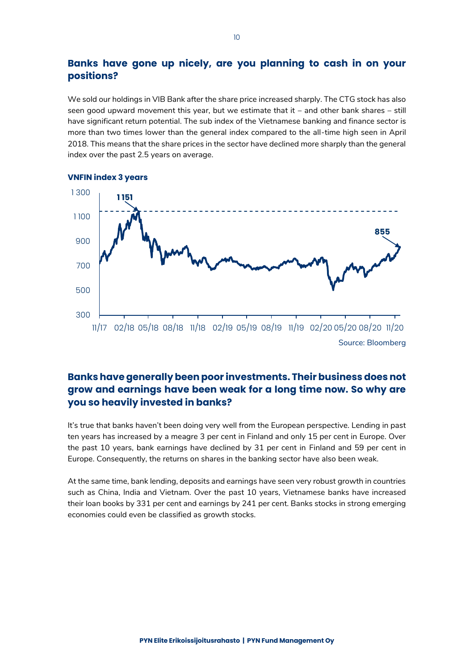# **Banks have gone up nicely, are you planning to cash in on your positions?**

We sold our holdings in VIB Bank after the share price increased sharply. The CTG stock has also seen good upward movement this year, but we estimate that it – and other bank shares – still have significant return potential. The sub index of the Vietnamese banking and finance sector is more than two times lower than the general index compared to the all-time high seen in April 2018. This means that the share prices in the sector have declined more sharply than the general index over the past 2.5 years on average.



### **VNFIN index 3 years**

# **Banks have generally been poor investments. Their business does not grow and earnings have been weak for a long time now. So why are you so heavily invested in banks?**

It's true that banks haven't been doing very well from the European perspective. Lending in past ten years has increased by a meagre 3 per cent in Finland and only 15 per cent in Europe. Over the past 10 years, bank earnings have declined by 31 per cent in Finland and 59 per cent in Europe. Consequently, the returns on shares in the banking sector have also been weak.

At the same time, bank lending, deposits and earnings have seen very robust growth in countries such as China, India and Vietnam. Over the past 10 years, Vietnamese banks have increased their loan books by 331 per cent and earnings by 241 per cent. Banks stocks in strong emerging economies could even be classified as growth stocks.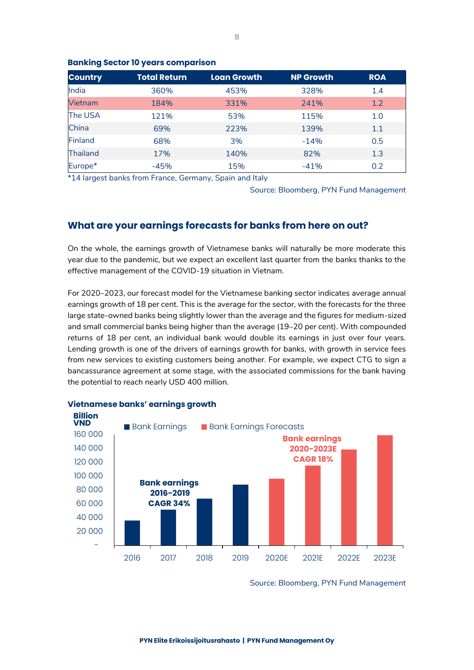| <b>Country</b>  | <b>Total Return</b> | <b>Loan Growth</b> | <b>NP Growth</b> | <b>ROA</b> |
|-----------------|---------------------|--------------------|------------------|------------|
| India           | 360%                | 453%               | 328%             | 1.4        |
| Vietnam         | 184%                | 331%               | 241%             | 1.2        |
| The USA         | 121%                | 53%                | 115%             | 1.0        |
| China           | 69%                 | 223%               | 139%             | 1.1        |
| <b>Finland</b>  | 68%                 | 3%                 | $-14%$           | 0.5        |
| <b>Thailand</b> | 17%                 | 140%               | 82%              | 1.3        |
| Europe*         | $-45%$              | 15%                | $-41%$           | 0.2        |

### **Banking Sector 10 years comparison**

\*14 largest banks from France, Germany, Spain and Italy

Source: Bloomberg, PYN Fund Management

## **What are your earnings forecasts for banks from here on out?**

On the whole, the earnings growth of Vietnamese banks will naturally be more moderate this year due to the pandemic, but we expect an excellent last quarter from the banks thanks to the effective management of the COVID-19 situation in Vietnam.

For 2020–2023, our forecast model for the Vietnamese banking sector indicates average annual earnings growth of 18 per cent. This is the average for the sector, with the forecasts for the three large state-owned banks being slightly lower than the average and the figures for medium-sized and small commercial banks being higher than the average (19–20 per cent). With compounded returns of 18 per cent, an individual bank would double its earnings in just over four years. Lending growth is one of the drivers of earnings growth for banks, with growth in service fees from new services to existing customers being another. For example, we expect CTG to sign a bancassurance agreement at some stage, with the associated commissions for the bank having the potential to reach nearly USD 400 million.



## **Vietnamese banks' earnings growth**

Source: Bloomberg, PYN Fund Management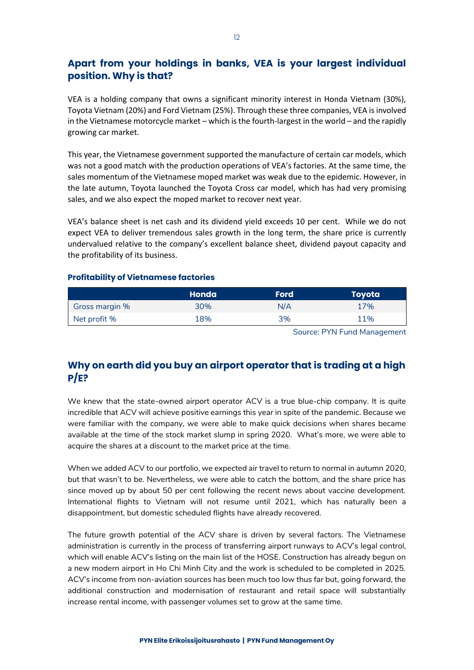# **Apart from your holdings in banks, VEA is your largest individual position. Why is that?**

VEA is a holding company that owns a significant minority interest in Honda Vietnam (30%), Toyota Vietnam (20%) and Ford Vietnam (25%). Through these three companies, VEA is involved in the Vietnamese motorcycle market – which is the fourth-largest in the world – and the rapidly growing car market.

This year, the Vietnamese government supported the manufacture of certain car models, which was not a good match with the production operations of VEA's factories. At the same time, the sales momentum of the Vietnamese moped market was weak due to the epidemic. However, in the late autumn, Toyota launched the Toyota Cross car model, which has had very promising sales, and we also expect the moped market to recover next year.

VEA's balance sheet is net cash and its dividend yield exceeds 10 per cent. While we do not expect VEA to deliver tremendous sales growth in the long term, the share price is currently undervalued relative to the company's excellent balance sheet, dividend payout capacity and the profitability of its business.

## **Profitability of Vietnamese factories**

|                | Honda | <b>Ford</b> | <b>Toyota</b> |
|----------------|-------|-------------|---------------|
| Gross margin % | 30%   | N/A         | 17%           |
| Net profit %   | 18%   | 3%          | 11%           |

Source: PYN Fund Management

# **Why on earth did you buy an airport operator that is trading at a high P/E?**

We knew that the state-owned airport operator ACV is a true blue-chip company. It is quite incredible that ACV will achieve positive earnings this year in spite of the pandemic. Because we were familiar with the company, we were able to make quick decisions when shares became available at the time of the stock market slump in spring 2020. What's more, we were able to acquire the shares at a discount to the market price at the time.

When we added ACV to our portfolio, we expected air travel to return to normal in autumn 2020, but that wasn't to be. Nevertheless, we were able to catch the bottom, and the share price has since moved up by about 50 per cent following the recent news about vaccine development. International flights to Vietnam will not resume until 2021, which has naturally been a disappointment, but domestic scheduled flights have already recovered.

The future growth potential of the ACV share is driven by several factors. The Vietnamese administration is currently in the process of transferring airport runways to ACV's legal control, which will enable ACV's listing on the main list of the HOSE. Construction has already begun on a new modern airport in Ho Chi Minh City and the work is scheduled to be completed in 2025. ACV's income from non-aviation sources has been much too low thus far but, going forward, the additional construction and modernisation of restaurant and retail space will substantially increase rental income, with passenger volumes set to grow at the same time.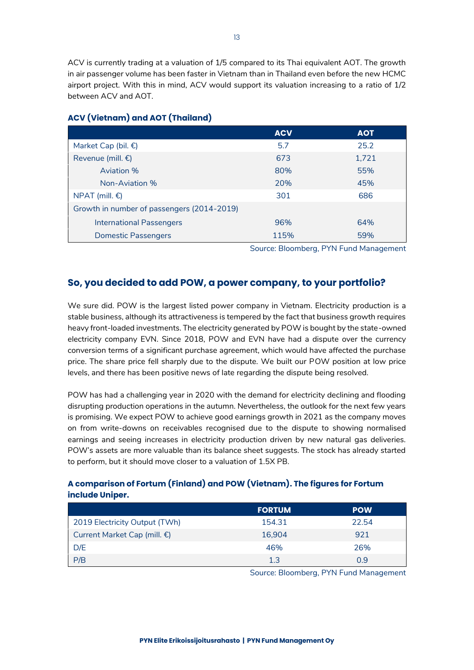ACV is currently trading at a valuation of 1/5 compared to its Thai equivalent AOT. The growth in air passenger volume has been faster in Vietnam than in Thailand even before the new HCMC airport project. With this in mind, ACV would support its valuation increasing to a ratio of 1/2 between ACV and AOT.

|                                            | <b>ACV</b> | <b>AOT</b> |
|--------------------------------------------|------------|------------|
| Market Cap (bil. €)                        | 5.7        | 25.2       |
| Revenue (mill. $\epsilon$ )                | 673        | 1,721      |
| Aviation %                                 | 80%        | 55%        |
| Non-Aviation %                             | 20%        | 45%        |
| NPAT (mill. $\epsilon$ )                   | 301        | 686        |
| Growth in number of passengers (2014-2019) |            |            |
| <b>International Passengers</b>            | 96%        | 64%        |
| <b>Domestic Passengers</b>                 | 115%       | 59%        |

## **ACV (Vietnam) and AOT (Thailand)**

Source: Bloomberg, PYN Fund Management

## **So, you decided to add POW, a power company, to your portfolio?**

We sure did. POW is the largest listed power company in Vietnam. Electricity production is a stable business, although its attractiveness is tempered by the fact that business growth requires heavy front-loaded investments. The electricity generated by POW is bought by the state-owned electricity company EVN. Since 2018, POW and EVN have had a dispute over the currency conversion terms of a significant purchase agreement, which would have affected the purchase price. The share price fell sharply due to the dispute. We built our POW position at low price levels, and there has been positive news of late regarding the dispute being resolved.

POW has had a challenging year in 2020 with the demand for electricity declining and flooding disrupting production operations in the autumn. Nevertheless, the outlook for the next few years is promising. We expect POW to achieve good earnings growth in 2021 as the company moves on from write-downs on receivables recognised due to the dispute to showing normalised earnings and seeing increases in electricity production driven by new natural gas deliveries. POW's assets are more valuable than its balance sheet suggests. The stock has already started to perform, but it should move closer to a valuation of 1.5X PB.

## **A comparison of Fortum (Finland) and POW (Vietnam). The figures for Fortum include Uniper.**

|                               | <b>FORTUM</b> | <b>POW</b> |
|-------------------------------|---------------|------------|
| 2019 Electricity Output (TWh) | 154.31        | 22.54      |
| Current Market Cap (mill. €)  | 16.904        | 921        |
| D/E                           | 46%           | 26%        |
| P/B                           | 13            | 0.9        |

Source: Bloomberg, PYN Fund Management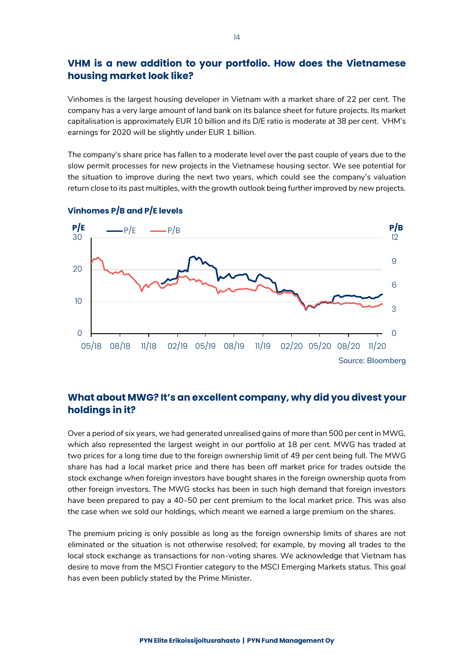# **VHM is a new addition to your portfolio. How does the Vietnamese housing market look like?**

Vinhomes is the largest housing developer in Vietnam with a market share of 22 per cent. The company has a very large amount of land bank on its balance sheet for future projects. Its market capitalisation is approximately EUR 10 billion and its D/E ratio is moderate at 38 per cent. VHM's earnings for 2020 will be slightly under EUR 1 billion.

The company's share price has fallen to a moderate level over the past couple of years due to the slow permit processes for new projects in the Vietnamese housing sector. We see potential for the situation to improve during the next two years, which could see the company's valuation return close to its past multiples, with the growth outlook being further improved by new projects.



## **Vinhomes P/B and P/E levels**

# **What about MWG? It's an excellent company, why did you divest your holdings in it?**

Over a period of six years, we had generated unrealised gains of more than 500 per cent in MWG, which also represented the largest weight in our portfolio at 18 per cent. MWG has traded at two prices for a long time due to the foreign ownership limit of 49 per cent being full. The MWG share has had a local market price and there has been off market price for trades outside the stock exchange when foreign investors have bought shares in the foreign ownership quota from other foreign investors. The MWG stocks has been in such high demand that foreign investors have been prepared to pay a 40–50 per cent premium to the local market price. This was also the case when we sold our holdings, which meant we earned a large premium on the shares.

The premium pricing is only possible as long as the foreign ownership limits of shares are not eliminated or the situation is not otherwise resolved; for example, by moving all trades to the local stock exchange as transactions for non-voting shares. We acknowledge that Vietnam has desire to move from the MSCI Frontier category to the MSCI Emerging Markets status. This goal has even been publicly stated by the Prime Minister.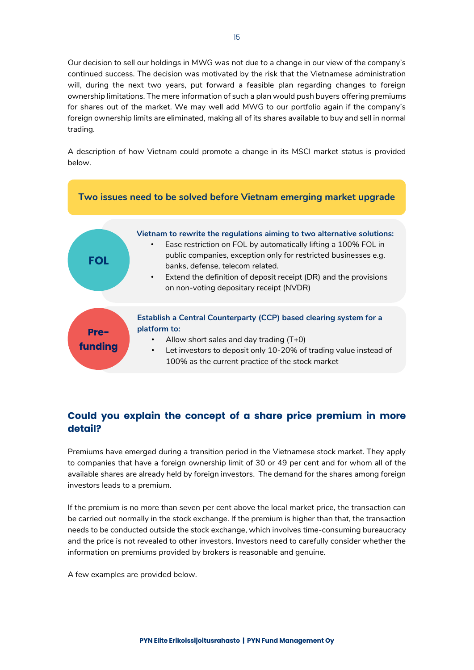Our decision to sell our holdings in MWG was not due to a change in our view of the company's continued success. The decision was motivated by the risk that the Vietnamese administration will, during the next two years, put forward a feasible plan regarding changes to foreign ownership limitations. The mere information of such a plan would push buyers offering premiums for shares out of the market. We may well add MWG to our portfolio again if the company's foreign ownership limits are eliminated, making all of its shares available to buy and sell in normal trading.

A description of how Vietnam could promote a change in its MSCI market status is provided below.



# **Could you explain the concept of a share price premium in more detail?**

Premiums have emerged during a transition period in the Vietnamese stock market. They apply to companies that have a foreign ownership limit of 30 or 49 per cent and for whom all of the available shares are already held by foreign investors. The demand for the shares among foreign investors leads to a premium.

If the premium is no more than seven per cent above the local market price, the transaction can be carried out normally in the stock exchange. If the premium is higher than that, the transaction needs to be conducted outside the stock exchange, which involves time-consuming bureaucracy and the price is not revealed to other investors. Investors need to carefully consider whether the information on premiums provided by brokers is reasonable and genuine.

A few examples are provided below.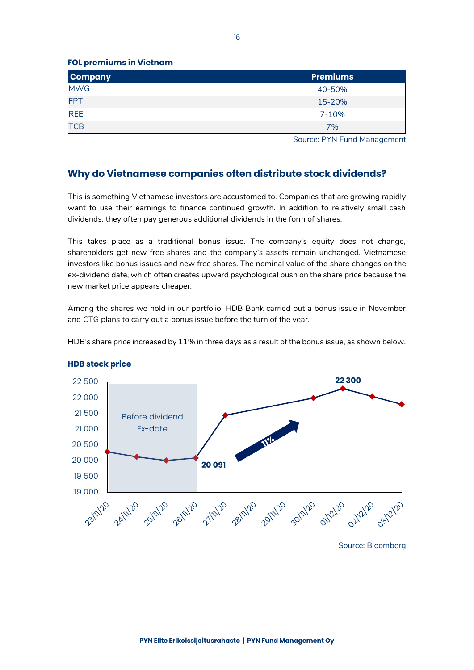**FOL premiums in Vietnam**

| <b>Company</b> | <b>Premiums</b> |
|----------------|-----------------|
| <b>MWG</b>     | 40-50%          |
| <b>FPT</b>     | 15-20%          |
| <b>REE</b>     | 7-10%           |
| <b>TCB</b>     | 7%              |

Source: PYN Fund Management

## **Why do Vietnamese companies often distribute stock dividends?**

This is something Vietnamese investors are accustomed to. Companies that are growing rapidly want to use their earnings to finance continued growth. In addition to relatively small cash dividends, they often pay generous additional dividends in the form of shares.

This takes place as a traditional bonus issue. The company's equity does not change, shareholders get new free shares and the company's assets remain unchanged. Vietnamese investors like bonus issues and new free shares. The nominal value of the share changes on the ex-dividend date, which often creates upward psychological push on the share price because the new market price appears cheaper.

Among the shares we hold in our portfolio, HDB Bank carried out a bonus issue in November and CTG plans to carry out a bonus issue before the turn of the year.

HDB's share price increased by 11% in three days as a result of the bonus issue, as shown below.



#### **HDB stock price**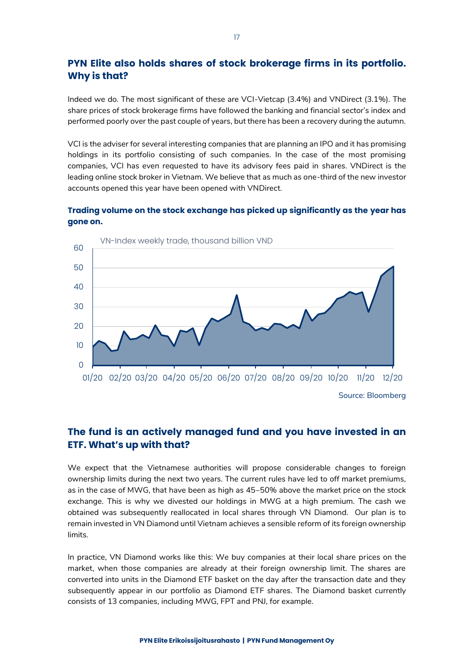# **PYN Elite also holds shares of stock brokerage firms in its portfolio. Why is that?**

Indeed we do. The most significant of these are VCI-Vietcap (3.4%) and VNDirect (3.1%). The share prices of stock brokerage firms have followed the banking and financial sector's index and performed poorly over the past couple of years, but there has been a recovery during the autumn.

VCI is the adviser for several interesting companies that are planning an IPO and it has promising holdings in its portfolio consisting of such companies. In the case of the most promising companies, VCI has even requested to have its advisory fees paid in shares. VNDirect is the leading online stock broker in Vietnam. We believe that as much as one-third of the new investor accounts opened this year have been opened with VNDirect.

## **Trading volume on the stock exchange has picked up significantly as the year has gone on.**



Source: Bloomberg

## **The fund is an actively managed fund and you have invested in an ETF. What's up with that?**

We expect that the Vietnamese authorities will propose considerable changes to foreign ownership limits during the next two years. The current rules have led to off market premiums, as in the case of MWG, that have been as high as 45–50% above the market price on the stock exchange. This is why we divested our holdings in MWG at a high premium. The cash we obtained was subsequently reallocated in local shares through VN Diamond. Our plan is to remain invested in VN Diamond until Vietnam achieves a sensible reform of its foreign ownership limits.

In practice, VN Diamond works like this: We buy companies at their local share prices on the market, when those companies are already at their foreign ownership limit. The shares are converted into units in the Diamond ETF basket on the day after the transaction date and they subsequently appear in our portfolio as Diamond ETF shares. The Diamond basket currently consists of 13 companies, including MWG, FPT and PNJ, for example.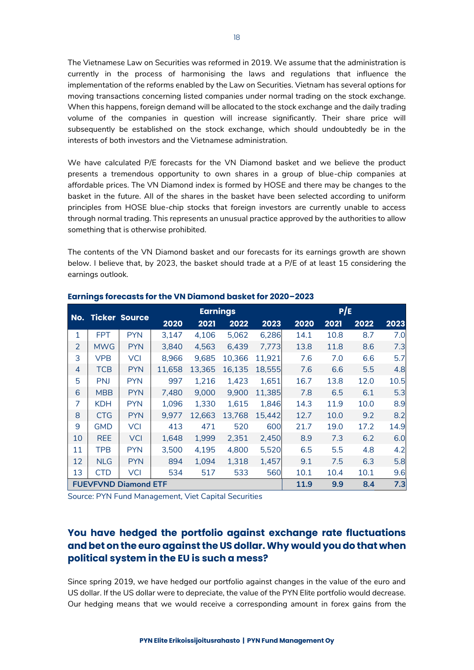The Vietnamese Law on Securities was reformed in 2019. We assume that the administration is currently in the process of harmonising the laws and regulations that influence the implementation of the reforms enabled by the Law on Securities. Vietnam has several options for moving transactions concerning listed companies under normal trading on the stock exchange. When this happens, foreign demand will be allocated to the stock exchange and the daily trading volume of the companies in question will increase significantly. Their share price will subsequently be established on the stock exchange, which should undoubtedly be in the interests of both investors and the Vietnamese administration.

We have calculated P/E forecasts for the VN Diamond basket and we believe the product presents a tremendous opportunity to own shares in a group of blue-chip companies at affordable prices. The VN Diamond index is formed by HOSE and there may be changes to the basket in the future. All of the shares in the basket have been selected according to uniform principles from HOSE blue-chip stocks that foreign investors are currently unable to access through normal trading. This represents an unusual practice approved by the authorities to allow something that is otherwise prohibited.

The contents of the VN Diamond basket and our forecasts for its earnings growth are shown below. I believe that, by 2023, the basket should trade at a P/E of at least 15 considering the earnings outlook.

|                |                             |                      | <b>Earnings</b> |        |        | P/E    |      |      |      |      |
|----------------|-----------------------------|----------------------|-----------------|--------|--------|--------|------|------|------|------|
| No.            |                             | <b>Ticker Source</b> | 2020            | 2021   | 2022   | 2023   | 2020 | 2021 | 2022 | 2023 |
| 1              | <b>FPT</b>                  | <b>PYN</b>           | 3,147           | 4,106  | 5,062  | 6,286  | 14.1 | 10.8 | 8.7  | 7.0  |
| $\overline{2}$ | <b>MWG</b>                  | <b>PYN</b>           | 3,840           | 4,563  | 6,439  | 7,773  | 13.8 | 11.8 | 8.6  | 7.3  |
| 3              | <b>VPB</b>                  | <b>VCI</b>           | 8,966           | 9,685  | 10,366 | 11,921 | 7.6  | 7.0  | 6.6  | 5.7  |
| 4              | <b>TCB</b>                  | <b>PYN</b>           | 11,658          | 13,365 | 16,135 | 18,555 | 7.6  | 6.6  | 5.5  | 4.8  |
| 5              | <b>PNJ</b>                  | <b>PYN</b>           | 997             | 1,216  | 1,423  | 1,651  | 16.7 | 13.8 | 12.0 | 10.5 |
| 6              | <b>MBB</b>                  | <b>PYN</b>           | 7.480           | 9,000  | 9,900  | 11,385 | 7.8  | 6.5  | 6.1  | 5.3  |
| 7              | <b>KDH</b>                  | <b>PYN</b>           | 1,096           | 1,330  | 1,615  | 1,846  | 14.3 | 11.9 | 10.0 | 8.9  |
| 8              | <b>CTG</b>                  | <b>PYN</b>           | 9,977           | 12,663 | 13,768 | 15.442 | 12.7 | 10.0 | 9.2  | 8.2  |
| 9              | <b>GMD</b>                  | <b>VCI</b>           | 413             | 471    | 520    | 600    | 21.7 | 19.0 | 17.2 | 14.9 |
| 10             | <b>REE</b>                  | <b>VCI</b>           | 1,648           | 1,999  | 2,351  | 2,450  | 8.9  | 7.3  | 6.2  | 6.0  |
| 11             | <b>TPB</b>                  | <b>PYN</b>           | 3,500           | 4,195  | 4,800  | 5,520  | 6.5  | 5.5  | 4.8  | 4.2  |
| 12             | <b>NLG</b>                  | <b>PYN</b>           | 894             | 1,094  | 1,318  | 1,457  | 9.1  | 7.5  | 6.3  | 5.8  |
| 13             | <b>CTD</b>                  | <b>VCI</b>           | 534             | 517    | 533    | 560    | 10.1 | 10.4 | 10.1 | 9.6  |
|                | <b>FUEVFVND Diamond ETF</b> |                      |                 |        |        |        | 11.9 | 9.9  | 8.4  | 7.3  |

### **Earnings forecasts for the VN Diamond basket for 2020–2023**

Source: PYN Fund Management, Viet Capital Securities

# **You have hedged the portfolio against exchange rate fluctuations and bet on the euro against the US dollar. Why would you do that when political system in the EU is such a mess?**

Since spring 2019, we have hedged our portfolio against changes in the value of the euro and US dollar. If the US dollar were to depreciate, the value of the PYN Elite portfolio would decrease. Our hedging means that we would receive a corresponding amount in forex gains from the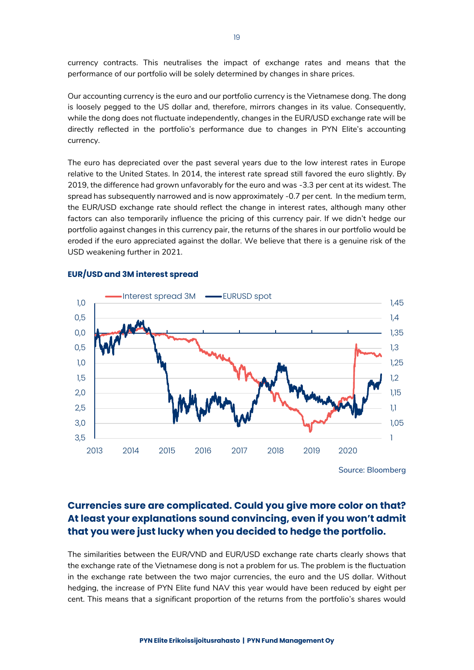currency contracts. This neutralises the impact of exchange rates and means that the performance of our portfolio will be solely determined by changes in share prices.

Our accounting currency is the euro and our portfolio currency is the Vietnamese dong. The dong is loosely pegged to the US dollar and, therefore, mirrors changes in its value. Consequently, while the dong does not fluctuate independently, changes in the EUR/USD exchange rate will be directly reflected in the portfolio's performance due to changes in PYN Elite's accounting currency.

The euro has depreciated over the past several years due to the low interest rates in Europe relative to the United States. In 2014, the interest rate spread still favored the euro slightly. By 2019, the difference had grown unfavorably for the euro and was -3.3 per cent at its widest. The spread has subsequently narrowed and is now approximately -0.7 per cent. In the medium term, the EUR/USD exchange rate should reflect the change in interest rates, although many other factors can also temporarily influence the pricing of this currency pair. If we didn't hedge our portfolio against changes in this currency pair, the returns of the shares in our portfolio would be eroded if the euro appreciated against the dollar. We believe that there is a genuine risk of the USD weakening further in 2021.



### **EUR/USD and 3M interest spread**

**Currencies sure are complicated. Could you give more color on that? At least your explanations sound convincing, even if you won't admit that you were just lucky when you decided to hedge the portfolio.**

The similarities between the EUR/VND and EUR/USD exchange rate charts clearly shows that the exchange rate of the Vietnamese dong is not a problem for us. The problem is the fluctuation in the exchange rate between the two major currencies, the euro and the US dollar. Without hedging, the increase of PYN Elite fund NAV this year would have been reduced by eight per cent. This means that a significant proportion of the returns from the portfolio's shares would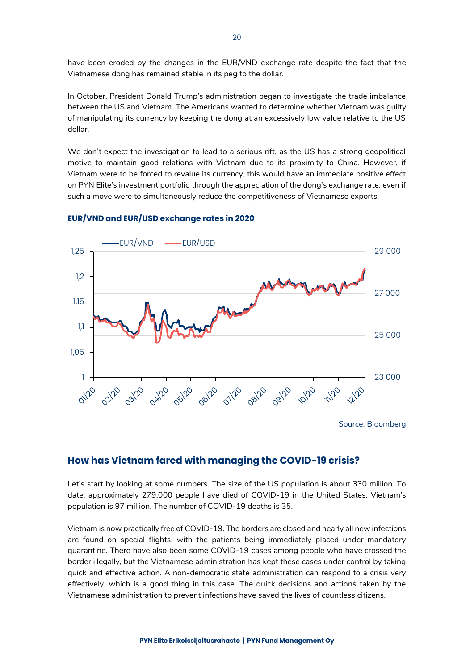have been eroded by the changes in the EUR/VND exchange rate despite the fact that the Vietnamese dong has remained stable in its peg to the dollar.

In October, President Donald Trump's administration began to investigate the trade imbalance between the US and Vietnam. The Americans wanted to determine whether Vietnam was guilty of manipulating its currency by keeping the dong at an excessively low value relative to the US dollar.

We don't expect the investigation to lead to a serious rift, as the US has a strong geopolitical motive to maintain good relations with Vietnam due to its proximity to China. However, if Vietnam were to be forced to revalue its currency, this would have an immediate positive effect on PYN Elite's investment portfolio through the appreciation of the dong's exchange rate, even if such a move were to simultaneously reduce the competitiveness of Vietnamese exports.



### **EUR/VND and EUR/USD exchange rates in 2020**

## **How has Vietnam fared with managing the COVID-19 crisis?**

Let's start by looking at some numbers. The size of the US population is about 330 million. To date, approximately 279,000 people have died of COVID-19 in the United States. Vietnam's population is 97 million. The number of COVID-19 deaths is 35.

Vietnam is now practically free of COVID-19. The borders are closed and nearly all new infections are found on special flights, with the patients being immediately placed under mandatory quarantine. There have also been some COVID-19 cases among people who have crossed the border illegally, but the Vietnamese administration has kept these cases under control by taking quick and effective action. A non-democratic state administration can respond to a crisis very effectively, which is a good thing in this case. The quick decisions and actions taken by the Vietnamese administration to prevent infections have saved the lives of countless citizens.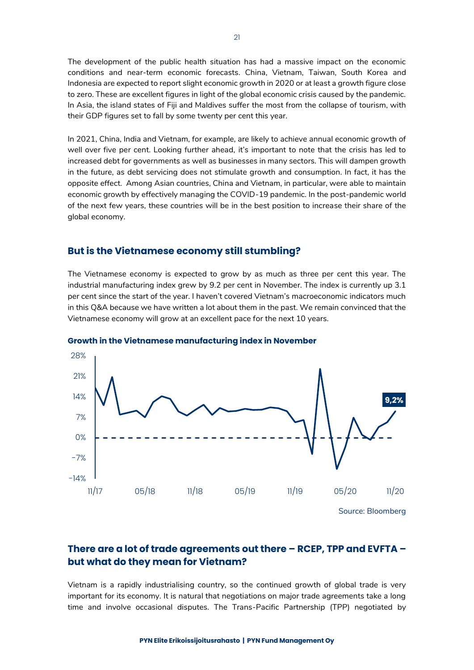The development of the public health situation has had a massive impact on the economic conditions and near-term economic forecasts. China, Vietnam, Taiwan, South Korea and Indonesia are expected to report slight economic growth in 2020 or at least a growth figure close to zero. These are excellent figures in light of the global economic crisis caused by the pandemic. In Asia, the island states of Fiji and Maldives suffer the most from the collapse of tourism, with their GDP figures set to fall by some twenty per cent this year.

In 2021, China, India and Vietnam, for example, are likely to achieve annual economic growth of well over five per cent. Looking further ahead, it's important to note that the crisis has led to increased debt for governments as well as businesses in many sectors. This will dampen growth in the future, as debt servicing does not stimulate growth and consumption. In fact, it has the opposite effect. Among Asian countries, China and Vietnam, in particular, were able to maintain economic growth by effectively managing the COVID-19 pandemic. In the post-pandemic world of the next few years, these countries will be in the best position to increase their share of the global economy.

## **But is the Vietnamese economy still stumbling?**

The Vietnamese economy is expected to grow by as much as three per cent this year. The industrial manufacturing index grew by 9.2 per cent in November. The index is currently up 3.1 per cent since the start of the year. I haven't covered Vietnam's macroeconomic indicators much in this Q&A because we have written a lot about them in the past. We remain convinced that the Vietnamese economy will grow at an excellent pace for the next 10 years.



**Growth in the Vietnamese manufacturing index in November**

## **There are a lot of trade agreements out there – RCEP, TPP and EVFTA – but what do they mean for Vietnam?**

Vietnam is a rapidly industrialising country, so the continued growth of global trade is very important for its economy. It is natural that negotiations on major trade agreements take a long time and involve occasional disputes. The Trans-Pacific Partnership (TPP) negotiated by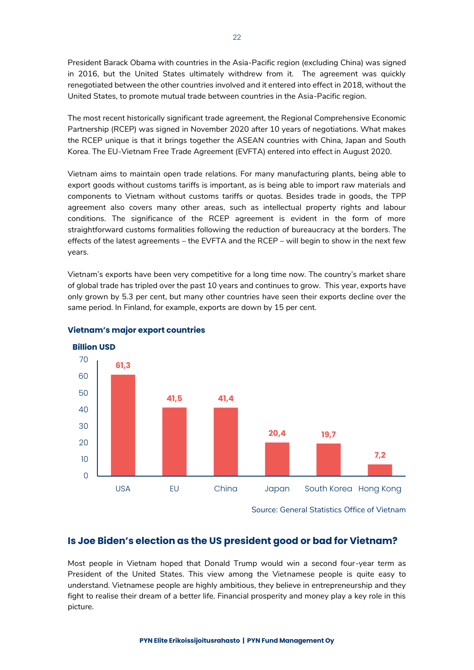President Barack Obama with countries in the Asia-Pacific region (excluding China) was signed in 2016, but the United States ultimately withdrew from it. The agreement was quickly renegotiated between the other countries involved and it entered into effect in 2018, without the United States, to promote mutual trade between countries in the Asia-Pacific region.

The most recent historically significant trade agreement, the Regional Comprehensive Economic Partnership (RCEP) was signed in November 2020 after 10 years of negotiations. What makes the RCEP unique is that it brings together the ASEAN countries with China, Japan and South Korea. The EU-Vietnam Free Trade Agreement (EVFTA) entered into effect in August 2020.

Vietnam aims to maintain open trade relations. For many manufacturing plants, being able to export goods without customs tariffs is important, as is being able to import raw materials and components to Vietnam without customs tariffs or quotas. Besides trade in goods, the TPP agreement also covers many other areas, such as intellectual property rights and labour conditions. The significance of the RCEP agreement is evident in the form of more straightforward customs formalities following the reduction of bureaucracy at the borders. The effects of the latest agreements – the EVFTA and the RCEP – will begin to show in the next few years.

Vietnam's exports have been very competitive for a long time now. The country's market share of global trade has tripled over the past 10 years and continues to grow. This year, exports have only grown by 5.3 per cent, but many other countries have seen their exports decline over the same period. In Finland, for example, exports are down by 15 per cent.



## **Vietnam's major export countries**

## **Is Joe Biden's election as the US president good or bad for Vietnam?**

Most people in Vietnam hoped that Donald Trump would win a second four-year term as President of the United States. This view among the Vietnamese people is quite easy to understand. Vietnamese people are highly ambitious, they believe in entrepreneurship and they fight to realise their dream of a better life. Financial prosperity and money play a key role in this picture.

Source: General Statistics Office of Vietnam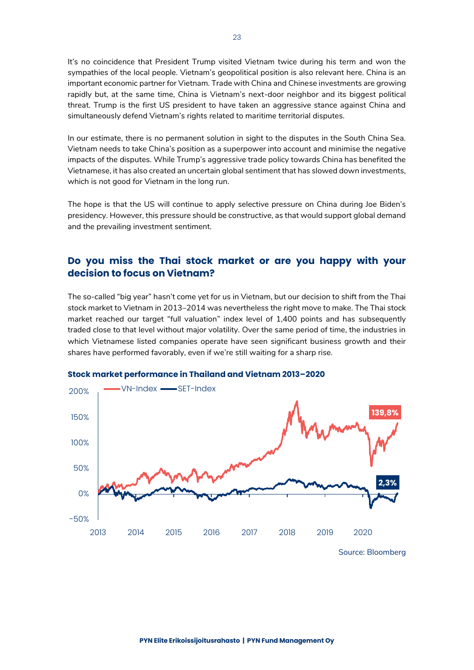It's no coincidence that President Trump visited Vietnam twice during his term and won the sympathies of the local people. Vietnam's geopolitical position is also relevant here. China is an important economic partner for Vietnam. Trade with China and Chinese investments are growing rapidly but, at the same time, China is Vietnam's next-door neighbor and its biggest political threat. Trump is the first US president to have taken an aggressive stance against China and simultaneously defend Vietnam's rights related to maritime territorial disputes.

In our estimate, there is no permanent solution in sight to the disputes in the South China Sea. Vietnam needs to take China's position as a superpower into account and minimise the negative impacts of the disputes. While Trump's aggressive trade policy towards China has benefited the Vietnamese, it has also created an uncertain global sentiment that has slowed down investments, which is not good for Vietnam in the long run.

The hope is that the US will continue to apply selective pressure on China during Joe Biden's presidency. However, this pressure should be constructive, as that would support global demand and the prevailing investment sentiment.

## **Do you miss the Thai stock market or are you happy with your decision to focus on Vietnam?**

The so-called "big year" hasn't come yet for us in Vietnam, but our decision to shift from the Thai stock market to Vietnam in 2013–2014 was nevertheless the right move to make. The Thai stock market reached our target "full valuation" index level of 1,400 points and has subsequently traded close to that level without major volatility. Over the same period of time, the industries in which Vietnamese listed companies operate have seen significant business growth and their shares have performed favorably, even if we're still waiting for a sharp rise.



**Stock market performance in Thailand and Vietnam 2013–2020**

Source: Bloomberg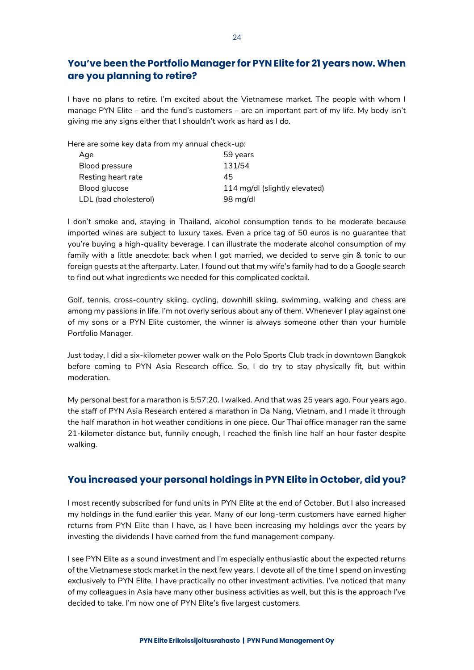# **You've been the Portfolio Manager for PYN Elite for 21 years now. When are you planning to retire?**

I have no plans to retire. I'm excited about the Vietnamese market. The people with whom I manage PYN Elite – and the fund's customers – are an important part of my life. My body isn't giving me any signs either that I shouldn't work as hard as I do.

Here are some key data from my annual check-up:

| Age                   | 59 years                      |
|-----------------------|-------------------------------|
| Blood pressure        | 131/54                        |
| Resting heart rate    | 45                            |
| Blood glucose         | 114 mg/dl (slightly elevated) |
| LDL (bad cholesterol) | 98 mg/dl                      |

I don't smoke and, staying in Thailand, alcohol consumption tends to be moderate because imported wines are subject to luxury taxes. Even a price tag of 50 euros is no guarantee that you're buying a high-quality beverage. I can illustrate the moderate alcohol consumption of my family with a little anecdote: back when I got married, we decided to serve gin & tonic to our foreign guests at the afterparty. Later, I found out that my wife's family had to do a Google search to find out what ingredients we needed for this complicated cocktail.

Golf, tennis, cross-country skiing, cycling, downhill skiing, swimming, walking and chess are among my passions in life. I'm not overly serious about any of them. Whenever I play against one of my sons or a PYN Elite customer, the winner is always someone other than your humble Portfolio Manager.

Just today, I did a six-kilometer power walk on the Polo Sports Club track in downtown Bangkok before coming to PYN Asia Research office. So, I do try to stay physically fit, but within moderation.

My personal best for a marathon is 5:57:20. I walked. And that was 25 years ago. Four years ago, the staff of PYN Asia Research entered a marathon in Da Nang, Vietnam, and I made it through the half marathon in hot weather conditions in one piece. Our Thai office manager ran the same 21-kilometer distance but, funnily enough, I reached the finish line half an hour faster despite walking.

## **You increased your personal holdings in PYN Elite in October, did you?**

I most recently subscribed for fund units in PYN Elite at the end of October. But I also increased my holdings in the fund earlier this year. Many of our long-term customers have earned higher returns from PYN Elite than I have, as I have been increasing my holdings over the years by investing the dividends I have earned from the fund management company.

I see PYN Elite as a sound investment and I'm especially enthusiastic about the expected returns of the Vietnamese stock market in the next few years. I devote all of the time I spend on investing exclusively to PYN Elite. I have practically no other investment activities. I've noticed that many of my colleagues in Asia have many other business activities as well, but this is the approach I've decided to take. I'm now one of PYN Elite's five largest customers.